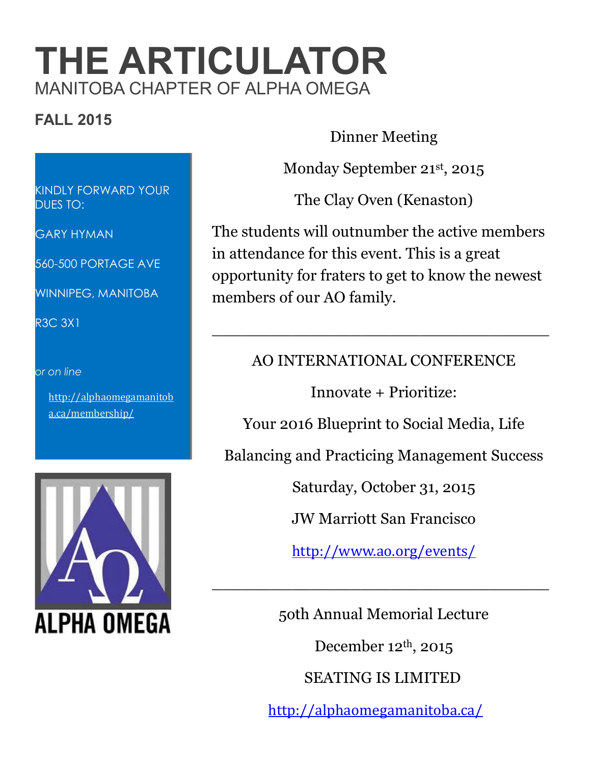# **THE ARTICULATOR** MANITOBA CHAPTER OF ALPHA OMEGA

## **FALL 2015**

Dinner Meeting

Monday September 21st , 2015

The Clay Oven (Kenaston)

The students will outnumber the active members in attendance for this event. This is a great opportunity for fraters to get to know the newest members of our AO family.

### AO INTERNATIONAL CONFERENCE

\_\_\_\_\_\_\_\_\_\_\_\_\_\_\_\_\_\_\_\_\_\_\_\_\_\_\_\_\_\_\_\_\_\_

Innovate + Prioritize:

Your 2016 Blueprint to Social Media, Life

Balancing and Practicing Management Success

Saturday, October 31, 2015

JW Marriott San Francisco

<http://www.ao.org/events/>

\_\_\_\_\_\_\_\_\_\_\_\_\_\_\_\_\_\_\_\_\_\_\_\_\_\_\_\_\_\_\_\_\_\_

5oth Annual Memorial Lecture December 12th, 2015 SEATING IS LIMITED <http://alphaomegamanitoba.ca/>

KINDLY FORWARD YOUR DUES TO:

GARY HYMAN

560-500 PORTAGE AVE

WINNIPEG, MANITOBA

R3C 3X1

#### *or on line*

[http://alphaomegamanitob](http://alphaomegamanitoba.ca/membership/) [a.ca/membership/](http://alphaomegamanitoba.ca/membership/)